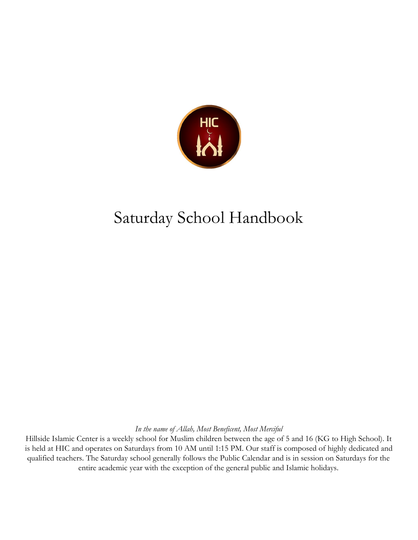

## Saturday School Handbook

*In the name of Allah, Most Beneficent, Most Merciful*

Hillside Islamic Center is a weekly school for Muslim children between the age of 5 and 16 (KG to High School). It is held at HIC and operates on Saturdays from 10 AM until 1:15 PM. Our staff is composed of highly dedicated and qualified teachers. The Saturday school generally follows the Public Calendar and is in session on Saturdays for the entire academic year with the exception of the general public and Islamic holidays.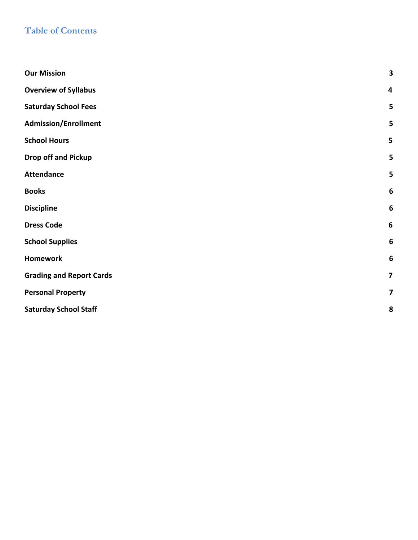#### **Table of Contents**

| <b>Our Mission</b>              | $\overline{\mathbf{3}}$ |
|---------------------------------|-------------------------|
| <b>Overview of Syllabus</b>     | 4                       |
| <b>Saturday School Fees</b>     | 5                       |
| <b>Admission/Enrollment</b>     | 5                       |
| <b>School Hours</b>             | 5                       |
| <b>Drop off and Pickup</b>      | 5                       |
| <b>Attendance</b>               | 5                       |
| <b>Books</b>                    | 6                       |
| <b>Discipline</b>               | $6\phantom{1}6$         |
| <b>Dress Code</b>               | $\boldsymbol{6}$        |
| <b>School Supplies</b>          | $6\phantom{1}6$         |
| <b>Homework</b>                 | 6                       |
| <b>Grading and Report Cards</b> | $\overline{\mathbf{z}}$ |
| <b>Personal Property</b>        | $\overline{\mathbf{z}}$ |
| <b>Saturday School Staff</b>    | 8                       |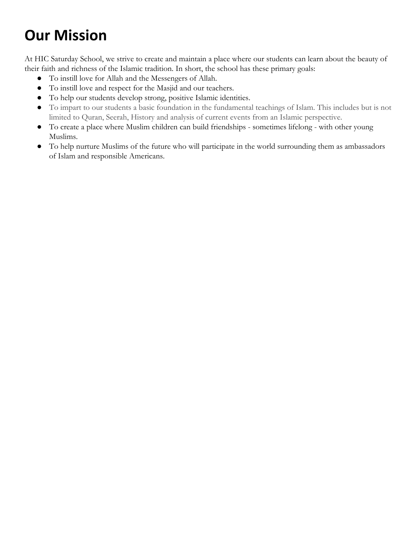## <span id="page-2-0"></span>**Our Mission**

At HIC Saturday School, we strive to create and maintain a place where our students can learn about the beauty of their faith and richness of the Islamic tradition. In short, the school has these primary goals:

- To instill love for Allah and the Messengers of Allah.
- To instill love and respect for the Masjid and our teachers.
- To help our students develop strong, positive Islamic identities.
- To impart to our students a basic foundation in the fundamental teachings of Islam. This includes but is not limited to Quran, Seerah, History and analysis of current events from an Islamic perspective.
- To create a place where Muslim children can build friendships sometimes lifelong with other young Muslims.
- To help nurture Muslims of the future who will participate in the world surrounding them as ambassadors of Islam and responsible Americans.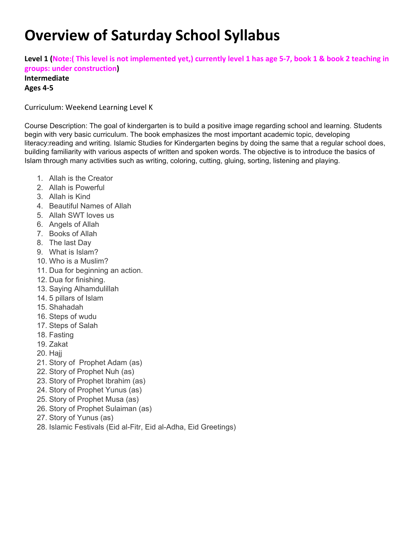#### **Overview of Saturday School Syllabus**

**Level 1 (Note:( This level is not implemented yet,) currently level 1 has age 5-7, book 1 & book 2 teaching in groups: under construction)**

#### **Intermediate Ages 4-5**

Curriculum: Weekend Learning Level K

Course Description: The goal of kindergarten is to build a positive image regarding school and learning. Students begin with very basic curriculum. The book emphasizes the most important academic topic, developing literacy:reading and writing. Islamic Studies for Kindergarten begins by doing the same that a regular school does, building familiarity with various aspects of written and spoken words. The objective is to introduce the basics of Islam through many activities such as writing, coloring, cutting, gluing, sorting, listening and playing.

- 1. Allah is the Creator
- 2. Allah is Powerful
- 3. Allah is Kind
- 4. Beautiful Names of Allah
- 5. Allah SWT loves us
- 6. Angels of Allah
- 7. Books of Allah
- 8. The last Day
- 9. What is Islam?
- 10. Who is a Muslim?
- 11. Dua for beginning an action.
- 12. Dua for finishing.
- 13. Saying Alhamdulillah
- 14. 5 pillars of Islam
- 15. Shahadah
- 16. Steps of wudu
- 17. Steps of Salah
- 18. Fasting
- 19. Zakat
- 20. Haii
- 21. Story of Prophet Adam (as)
- 22. Story of Prophet Nuh (as)
- 23. Story of Prophet Ibrahim (as)
- 24. Story of Prophet Yunus (as)
- 25. Story of Prophet Musa (as)
- 26. Story of Prophet Sulaiman (as)
- 27. Story of Yunus (as)
- 28. Islamic Festivals (Eid al-Fitr, Eid al-Adha, Eid Greetings)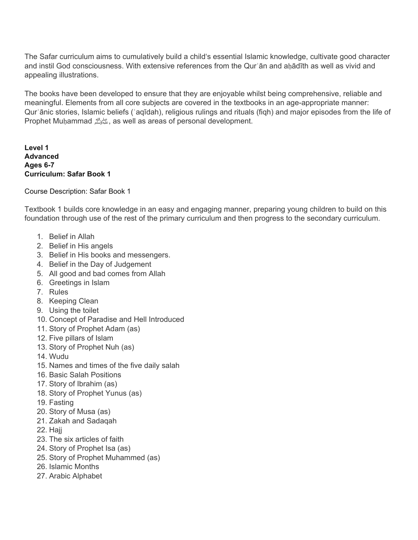The Safar curriculum aims to cumulatively build a child's essential Islamic knowledge, cultivate good character and instil God consciousness. With extensive references from the Qurʾān and aḥādīth as well as vivid and appealing illustrations.

The books have been developed to ensure that they are enjoyable whilst being comprehensive, reliable and meaningful. Elements from all core subjects are covered in the textbooks in an age-appropriate manner: Qurʾānic stories, Islamic beliefs (ʿaqīdah), religious rulings and rituals (fiqh) and major episodes from the life of Prophet Muḥammadصلى الله عليه وسلم, as well as areas of personal development.

**Level 1 Advanced Ages 6-7 Curriculum: Safar Book 1**

#### Course Description: Safar Book 1

Textbook 1 builds core knowledge in an easy and engaging manner, preparing young children to build on this foundation through use of the rest of the primary curriculum and then progress to the secondary curriculum.

- 1. Belief in Allah
- 2. Belief in His angels
- 3. Belief in His books and messengers.
- 4. Belief in the Day of Judgement
- 5. All good and bad comes from Allah
- 6. Greetings in Islam
- 7. Rules
- 8. Keeping Clean
- 9. Using the toilet
- 10. Concept of Paradise and Hell Introduced
- 11. Story of Prophet Adam (as)
- 12. Five pillars of Islam
- 13. Story of Prophet Nuh (as)
- 14. Wudu
- 15. Names and times of the five daily salah
- 16. Basic Salah Positions
- 17. Story of Ibrahim (as)
- 18. Story of Prophet Yunus (as)
- 19. Fasting
- 20. Story of Musa (as)
- 21. Zakah and Sadaqah
- 22. Hajj
- 23. The six articles of faith
- 24. Story of Prophet Isa (as)
- 25. Story of Prophet Muhammed (as)
- 26. Islamic Months
- 27. Arabic Alphabet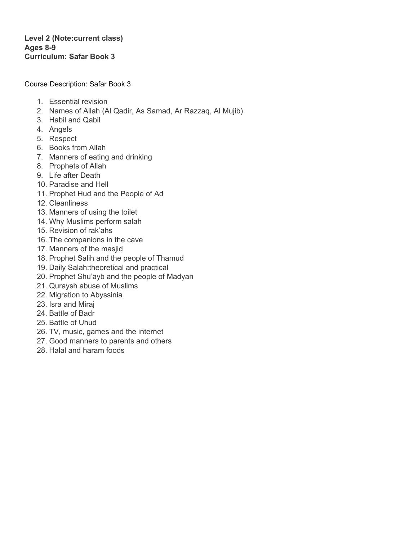#### **Level 2 (Note:current class) Ages 8-9 Curriculum: Safar Book 3**

Course Description: Safar Book 3

- 1. Essential revision
- 2. Names of Allah (Al Qadir, As Samad, Ar Razzaq, Al Mujib)
- 3. Habil and Qabil
- 4. Angels
- 5. Respect
- 6. Books from Allah
- 7. Manners of eating and drinking
- 8. Prophets of Allah
- 9. Life after Death
- 10. Paradise and Hell
- 11. Prophet Hud and the People of Ad
- 12. Cleanliness
- 13. Manners of using the toilet
- 14. Why Muslims perform salah
- 15. Revision of rak'ahs
- 16. The companions in the cave
- 17. Manners of the masjid
- 18. Prophet Salih and the people of Thamud
- 19. Daily Salah:theoretical and practical
- 20. Prophet Shu'ayb and the people of Madyan
- 21. Quraysh abuse of Muslims
- 22. Migration to Abyssinia
- 23. Isra and Miraj
- 24. Battle of Badr
- 25. Battle of Uhud
- 26. TV, music, games and the internet
- 27. Good manners to parents and others
- 28. Halal and haram foods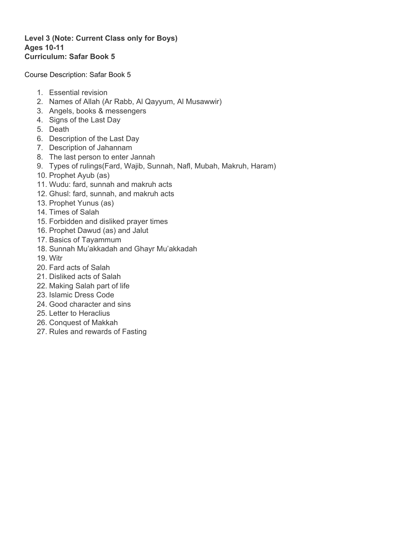#### **Level 3 (Note: Current Class only for Boys) Ages 10-11 Curriculum: Safar Book 5**

Course Description: Safar Book 5

- 1. Essential revision
- 2. Names of Allah (Ar Rabb, Al Qayyum, Al Musawwir)
- 3. Angels, books & messengers
- 4. Signs of the Last Day
- 5. Death
- 6. Description of the Last Day
- 7. Description of Jahannam
- 8. The last person to enter Jannah
- 9. Types of rulings(Fard, Wajib, Sunnah, Nafl, Mubah, Makruh, Haram)
- 10. Prophet Ayub (as)
- 11. Wudu: fard, sunnah and makruh acts
- 12. Ghusl: fard, sunnah, and makruh acts
- 13. Prophet Yunus (as)
- 14. Times of Salah
- 15. Forbidden and disliked prayer times
- 16. Prophet Dawud (as) and Jalut
- 17. Basics of Tayammum
- 18. Sunnah Mu'akkadah and Ghayr Mu'akkadah
- 19. Witr
- 20. Fard acts of Salah
- 21. Disliked acts of Salah
- 22. Making Salah part of life
- 23. Islamic Dress Code
- 24. Good character and sins
- 25. Letter to Heraclius
- 26. Conquest of Makkah
- 27. Rules and rewards of Fasting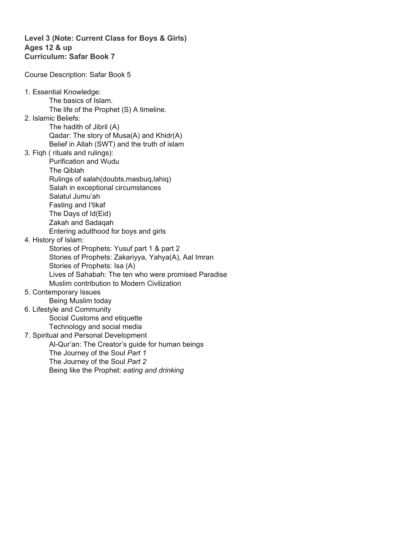#### **Level 3 (Note: Current Class for Boys & Girls) Ages 12 & up Curriculum: Safar Book 7**

Course Description: Safar Book 5

1. Essential Knowledge: The basics of Islam. The life of the Prophet (S) A timeline. 2. Islamic Beliefs: The hadith of Jibril (A) Qadar: The story of Musa(A) and Khidr(A) Belief in Allah (SWT) and the truth of islam 3. Fiqh ( rituals and rulings): Purification and Wudu The Qiblah Rulings of salah(doubts,masbuq,lahiq) Salah in exceptional circumstances Salatul Jumu'ah Fasting and I'tikaf The Days of Id(Eid) Zakah and Sadaqah Entering adulthood for boys and girls 4. History of Islam: Stories of Prophets: Yusuf part 1 & part 2 Stories of Prophets: Zakariyya, Yahya(A), Aal Imran Stories of Prophets: Isa (A) Lives of Sahabah: The ten who were promised Paradise Muslim contribution to Modern Civilization 5. Contemporary Issues Being Muslim today 6. Lifestyle and Community Social Customs and etiquette Technology and social media 7. Spiritual and Personal Development Al-Qur'an: The Creator's guide for human beings The Journey of the Soul *Part 1* The Journey of the Soul *Part 2* Being like the Prophet: *eating and drinking*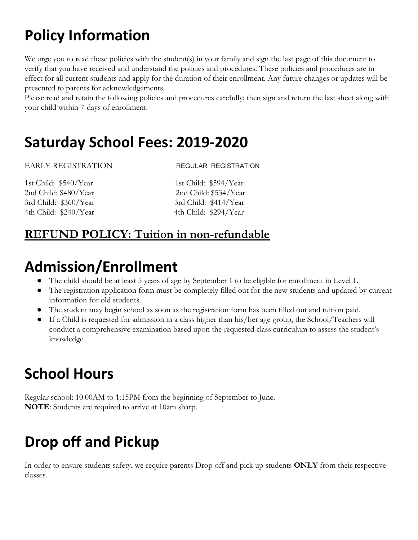## **Policy Information**

We urge you to read these policies with the student(s) in your family and sign the last page of this document to verify that you have received and understand the policies and procedures. These policies and procedures are in effect for all current students and apply for the duration of their enrollment. Any future changes or updates will be presented to parents for acknowledgements.

Please read and retain the following policies and procedures carefully; then sign and return the last sheet along with your child within 7-days of enrollment.

#### <span id="page-9-0"></span>**Saturday School Fees: 2019-2020**

#### EARLY REGISTRATION REGULAR REGISTRATION

1st Child: \$540/Year 1st Child: \$594/Year 2nd Child: \$480/Year 2nd Child: \$534/Year 3rd Child: \$360/Year 3rd Child: \$414/Year 4th Child: \$240/Year 4th Child: \$294/Year

#### **REFUND POLICY: Tuition in non-refundable**

### <span id="page-9-1"></span>**Admission/Enrollment**

- The child should be at least 5 years of age by September 1 to be eligible for enrollment in Level 1.
- The registration application form must be completely filled out for the new students and updated by current information for old students.
- The student may begin school as soon as the registration form has been filled out and tuition paid.
- If a Child is requested for admission in a class higher than his/her age group, the School/Teachers will conduct a comprehensive examination based upon the requested class curriculum to assess the student's knowledge.

## <span id="page-9-2"></span>**School Hours**

Regular school: 10:00AM to 1:15PM from the beginning of September to June. **NOTE**: Students are required to arrive at 10am sharp.

## <span id="page-9-3"></span>**Drop off and Pickup**

In order to ensure students safety, we require parents Drop off and pick up students **ONLY** from their respective classes.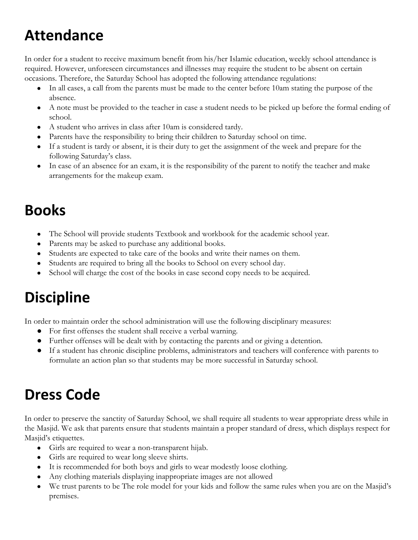## <span id="page-10-0"></span>**Attendance**

In order for a student to receive maximum benefit from his/her Islamic education, weekly school attendance is required. However, unforeseen circumstances and illnesses may require the student to be absent on certain occasions. Therefore, the Saturday School has adopted the following attendance regulations:

- In all cases, a call from the parents must be made to the center before 10am stating the purpose of the absence.
- A note must be provided to the teacher in case a student needs to be picked up before the formal ending of school.
- A student who arrives in class after 10am is considered tardy.
- Parents have the responsibility to bring their children to Saturday school on time.
- If a student is tardy or absent, it is their duty to get the assignment of the week and prepare for the following Saturday's class.
- In case of an absence for an exam, it is the responsibility of the parent to notify the teacher and make arrangements for the makeup exam.

#### <span id="page-10-1"></span>**Books**

- The School will provide students Textbook and workbook for the academic school year.
- Parents may be asked to purchase any additional books.
- Students are expected to take care of the books and write their names on them.
- Students are required to bring all the books to School on every school day.
- School will charge the cost of the books in case second copy needs to be acquired.

## <span id="page-10-2"></span>**Discipline**

In order to maintain order the school administration will use the following disciplinary measures:

- For first offenses the student shall receive a verbal warning.
- Further offenses will be dealt with by contacting the parents and or giving a detention.
- If a student has chronic discipline problems, administrators and teachers will conference with parents to formulate an action plan so that students may be more successful in Saturday school.

## <span id="page-10-3"></span>**Dress Code**

In order to preserve the sanctity of Saturday School, we shall require all students to wear appropriate dress while in the Masjid. We ask that parents ensure that students maintain a proper standard of dress, which displays respect for Masjid's etiquettes.

- Girls are required to wear a non-transparent hijab.
- Girls are required to wear long sleeve shirts.
- It is recommended for both boys and girls to wear modestly loose clothing.
- Any clothing materials displaying inappropriate images are not allowed
- We trust parents to be The role model for your kids and follow the same rules when you are on the Masjid's premises.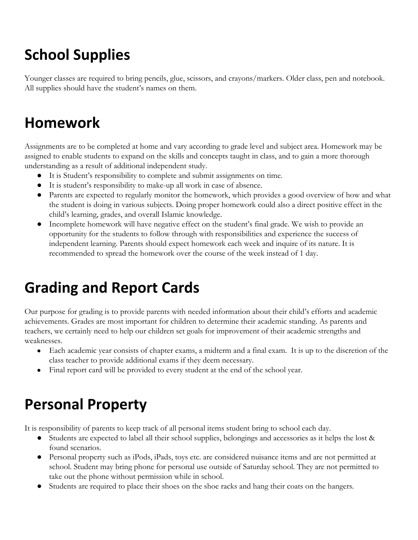# <span id="page-11-0"></span>**School Supplies**

Younger classes are required to bring pencils, glue, scissors, and crayons/markers. Older class, pen and notebook. All supplies should have the student's names on them.

## <span id="page-11-1"></span>**Homework**

Assignments are to be completed at home and vary according to grade level and subject area. Homework may be assigned to enable students to expand on the skills and concepts taught in class, and to gain a more thorough understanding as a result of additional independent study.

- It is Student's responsibility to complete and submit assignments on time.
- It is student's responsibility to make-up all work in case of absence.
- Parents are expected to regularly monitor the homework, which provides a good overview of how and what the student is doing in various subjects. Doing proper homework could also a direct positive effect in the child's learning, grades, and overall Islamic knowledge.
- Incomplete homework will have negative effect on the student's final grade. We wish to provide an opportunity for the students to follow through with responsibilities and experience the success of independent learning. Parents should expect homework each week and inquire of its nature. It is recommended to spread the homework over the course of the week instead of 1 day.

## <span id="page-11-2"></span>**Grading and Report Cards**

Our purpose for grading is to provide parents with needed information about their child's efforts and academic achievements. Grades are most important for children to determine their academic standing. As parents and teachers, we certainly need to help our children set goals for improvement of their academic strengths and weaknesses.

- Each academic year consists of chapter exams, a midterm and a final exam. It is up to the discretion of the class teacher to provide additional exams if they deem necessary.
- Final report card will be provided to every student at the end of the school year.

## <span id="page-11-3"></span>**Personal Property**

It is responsibility of parents to keep track of all personal items student bring to school each day.

- Students are expected to label all their school supplies, belongings and accessories as it helps the lost & found scenarios.
- Personal property such as iPods, iPads, toys etc. are considered nuisance items and are not permitted at school. Student may bring phone for personal use outside of Saturday school. They are not permitted to take out the phone without permission while in school.
- Students are required to place their shoes on the shoe racks and hang their coats on the hangers.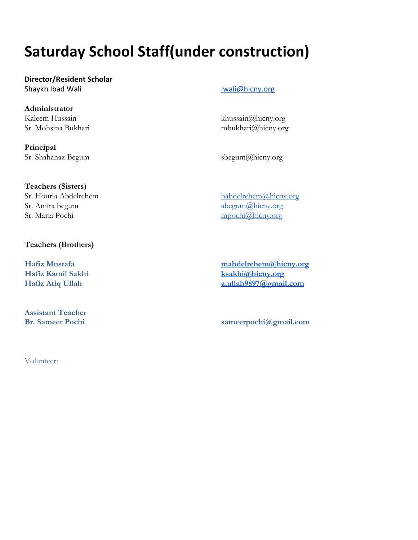## <span id="page-12-0"></span>**Saturday School Staff(under construction)**

**Director/Resident Scholar** Shaykh Ibad Wali **iwaliming and a struck of the struck** in the struck of the struck of the struck of the struck of the struck of the struck of the struck of the struck of the struck of the struck of the struck of the struc

**Administrator** Kaleem Hussain khussain khussain khussain khussain a khussain a khussain a khussain a khussain a khussain a khussain a khussain a khussain a khussain a khussain a khussain a khussain a khussain a khussain a khussain a khus

**Principal** Sr. Shahanaz Begum [sbegum@h](mailto:sbegum001@gmail.com)icny.org

Sr. Mohsina Bukhari mbukhari mbukhari mbukhari mbukhari mbukhari mbukhari mbukhari mbukhari mbukhari mbukhari m

**Teachers (Sisters)** Sr. Houria Abdelrehem habdelrehem habdelrehem habdelrehem habdelrehem alhicny.org Sr. Amira begum  $\log_{10}(\alpha)$ hicny.org Sr. Maria Pochi mpochi $@$ hicny.org

#### **Teachers (Brothers)**

**Assistant Teacher**

**Hafiz Mustafa [mabdelrehem@hicny.org](mailto:mabdelrehem@hicny.org) Hafiz Kamil Sakhi [ksakhi@hicny.org](mailto:ksakhi@hicny.org) Hafiz Atiq Ullah [a.ullah9897@gmail.com](mailto:a.ullah9897@gmail.com)**

**Br. Sameer Pochi sameerpochi@gmail.com**

Volunteer: